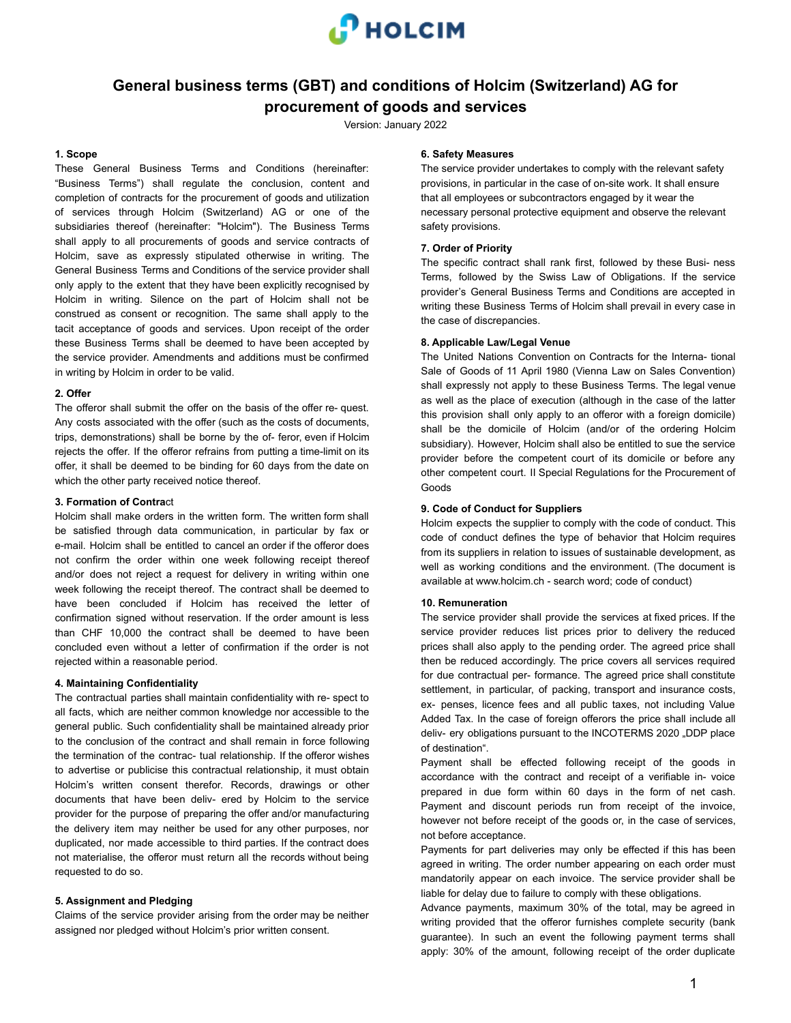

## **General business terms (GBT) and conditions of Holcim (Switzerland) AG for procurement of goods and services**

Version: January 2022

## **1. Scope**

These General Business Terms and Conditions (hereinafter: "Business Terms") shall regulate the conclusion, content and completion of contracts for the procurement of goods and utilization of services through Holcim (Switzerland) AG or one of the subsidiaries thereof (hereinafter: "Holcim"). The Business Terms shall apply to all procurements of goods and service contracts of Holcim, save as expressly stipulated otherwise in writing. The General Business Terms and Conditions of the service provider shall only apply to the extent that they have been explicitly recognised by Holcim in writing. Silence on the part of Holcim shall not be construed as consent or recognition. The same shall apply to the tacit acceptance of goods and services. Upon receipt of the order these Business Terms shall be deemed to have been accepted by the service provider. Amendments and additions must be confirmed in writing by Holcim in order to be valid.

#### **2. Offer**

The offeror shall submit the offer on the basis of the offer re- quest. Any costs associated with the offer (such as the costs of documents, trips, demonstrations) shall be borne by the of- feror, even if Holcim rejects the offer. If the offeror refrains from putting a time-limit on its offer, it shall be deemed to be binding for 60 days from the date on which the other party received notice thereof.

#### **3. Formation of Contra**ct

Holcim shall make orders in the written form. The written form shall be satisfied through data communication, in particular by fax or e-mail. Holcim shall be entitled to cancel an order if the offeror does not confirm the order within one week following receipt thereof and/or does not reject a request for delivery in writing within one week following the receipt thereof. The contract shall be deemed to have been concluded if Holcim has received the letter of confirmation signed without reservation. If the order amount is less than CHF 10,000 the contract shall be deemed to have been concluded even without a letter of confirmation if the order is not rejected within a reasonable period.

## **4. Maintaining Confidentiality**

The contractual parties shall maintain confidentiality with re- spect to all facts, which are neither common knowledge nor accessible to the general public. Such confidentiality shall be maintained already prior to the conclusion of the contract and shall remain in force following the termination of the contrac- tual relationship. If the offeror wishes to advertise or publicise this contractual relationship, it must obtain Holcim's written consent therefor. Records, drawings or other documents that have been deliv- ered by Holcim to the service provider for the purpose of preparing the offer and/or manufacturing the delivery item may neither be used for any other purposes, nor duplicated, nor made accessible to third parties. If the contract does not materialise, the offeror must return all the records without being requested to do so.

## **5. Assignment and Pledging**

Claims of the service provider arising from the order may be neither assigned nor pledged without Holcim's prior written consent.

#### **6. Safety Measures**

The service provider undertakes to comply with the relevant safety provisions, in particular in the case of on-site work. It shall ensure that all employees or subcontractors engaged by it wear the necessary personal protective equipment and observe the relevant safety provisions.

#### **7. Order of Priority**

The specific contract shall rank first, followed by these Busi- ness Terms, followed by the Swiss Law of Obligations. If the service provider's General Business Terms and Conditions are accepted in writing these Business Terms of Holcim shall prevail in every case in the case of discrepancies.

#### **8. Applicable Law/Legal Venue**

The United Nations Convention on Contracts for the Interna- tional Sale of Goods of 11 April 1980 (Vienna Law on Sales Convention) shall expressly not apply to these Business Terms. The legal venue as well as the place of execution (although in the case of the latter this provision shall only apply to an offeror with a foreign domicile) shall be the domicile of Holcim (and/or of the ordering Holcim subsidiary). However, Holcim shall also be entitled to sue the service provider before the competent court of its domicile or before any other competent court. II Special Regulations for the Procurement of Goods

#### **9. Code of Conduct for Suppliers**

Holcim expects the supplier to comply with the code of conduct. This code of conduct defines the type of behavior that Holcim requires from its suppliers in relation to issues of sustainable development, as well as working conditions and the environment. (The document is available at www.holcim.ch - search word; code of conduct)

#### **10. Remuneration**

The service provider shall provide the services at fixed prices. If the service provider reduces list prices prior to delivery the reduced prices shall also apply to the pending order. The agreed price shall then be reduced accordingly. The price covers all services required for due contractual per- formance. The agreed price shall constitute settlement, in particular, of packing, transport and insurance costs, ex- penses, licence fees and all public taxes, not including Value Added Tax. In the case of foreign offerors the price shall include all deliv- ery obligations pursuant to the INCOTERMS 2020 "DDP place of destination".

Payment shall be effected following receipt of the goods in accordance with the contract and receipt of a verifiable in- voice prepared in due form within 60 days in the form of net cash. Payment and discount periods run from receipt of the invoice, however not before receipt of the goods or, in the case of services, not before acceptance.

Payments for part deliveries may only be effected if this has been agreed in writing. The order number appearing on each order must mandatorily appear on each invoice. The service provider shall be liable for delay due to failure to comply with these obligations.

Advance payments, maximum 30% of the total, may be agreed in writing provided that the offeror furnishes complete security (bank guarantee). In such an event the following payment terms shall apply: 30% of the amount, following receipt of the order duplicate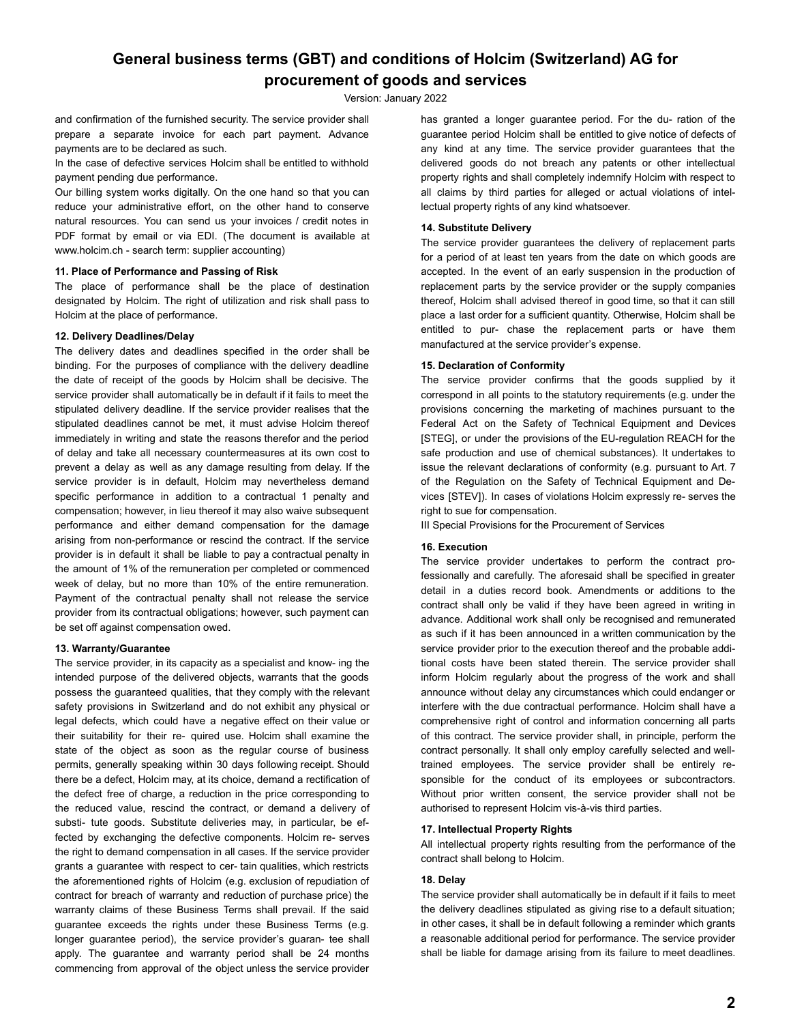# **General business terms (GBT) and conditions of Holcim (Switzerland) AG for procurement of goods and services**

Version: January 2022

and confirmation of the furnished security. The service provider shall prepare a separate invoice for each part payment. Advance payments are to be declared as such.

In the case of defective services Holcim shall be entitled to withhold payment pending due performance.

Our billing system works digitally. On the one hand so that you can reduce your administrative effort, on the other hand to conserve natural resources. You can send us your invoices / credit notes in PDF format by email or via EDI. (The document is available at www.holcim.ch - search term: supplier accounting)

#### **11. Place of Performance and Passing of Risk**

The place of performance shall be the place of destination designated by Holcim. The right of utilization and risk shall pass to Holcim at the place of performance.

#### **12. Delivery Deadlines/Delay**

The delivery dates and deadlines specified in the order shall be binding. For the purposes of compliance with the delivery deadline the date of receipt of the goods by Holcim shall be decisive. The service provider shall automatically be in default if it fails to meet the stipulated delivery deadline. If the service provider realises that the stipulated deadlines cannot be met, it must advise Holcim thereof immediately in writing and state the reasons therefor and the period of delay and take all necessary countermeasures at its own cost to prevent a delay as well as any damage resulting from delay. If the service provider is in default, Holcim may nevertheless demand specific performance in addition to a contractual 1 penalty and compensation; however, in lieu thereof it may also waive subsequent performance and either demand compensation for the damage arising from non-performance or rescind the contract. If the service provider is in default it shall be liable to pay a contractual penalty in the amount of 1% of the remuneration per completed or commenced week of delay, but no more than 10% of the entire remuneration. Payment of the contractual penalty shall not release the service provider from its contractual obligations; however, such payment can be set off against compensation owed.

#### **13. Warranty/Guarantee**

The service provider, in its capacity as a specialist and know- ing the intended purpose of the delivered objects, warrants that the goods possess the guaranteed qualities, that they comply with the relevant safety provisions in Switzerland and do not exhibit any physical or legal defects, which could have a negative effect on their value or their suitability for their re- quired use. Holcim shall examine the state of the object as soon as the regular course of business permits, generally speaking within 30 days following receipt. Should there be a defect, Holcim may, at its choice, demand a rectification of the defect free of charge, a reduction in the price corresponding to the reduced value, rescind the contract, or demand a delivery of substi- tute goods. Substitute deliveries may, in particular, be effected by exchanging the defective components. Holcim re- serves the right to demand compensation in all cases. If the service provider grants a guarantee with respect to cer- tain qualities, which restricts the aforementioned rights of Holcim (e.g. exclusion of repudiation of contract for breach of warranty and reduction of purchase price) the warranty claims of these Business Terms shall prevail. If the said guarantee exceeds the rights under these Business Terms (e.g. longer guarantee period), the service provider's guaran- tee shall apply. The guarantee and warranty period shall be 24 months commencing from approval of the object unless the service provider

has granted a longer guarantee period. For the du- ration of the guarantee period Holcim shall be entitled to give notice of defects of any kind at any time. The service provider guarantees that the delivered goods do not breach any patents or other intellectual property rights and shall completely indemnify Holcim with respect to all claims by third parties for alleged or actual violations of intellectual property rights of any kind whatsoever.

## **14. Substitute Delivery**

The service provider guarantees the delivery of replacement parts for a period of at least ten years from the date on which goods are accepted. In the event of an early suspension in the production of replacement parts by the service provider or the supply companies thereof, Holcim shall advised thereof in good time, so that it can still place a last order for a sufficient quantity. Otherwise, Holcim shall be entitled to pur- chase the replacement parts or have them manufactured at the service provider's expense.

## **15. Declaration of Conformity**

The service provider confirms that the goods supplied by it correspond in all points to the statutory requirements (e.g. under the provisions concerning the marketing of machines pursuant to the Federal Act on the Safety of Technical Equipment and Devices [STEG], or under the provisions of the EU-regulation REACH for the safe production and use of chemical substances). It undertakes to issue the relevant declarations of conformity (e.g. pursuant to Art. 7 of the Regulation on the Safety of Technical Equipment and Devices [STEV]). In cases of violations Holcim expressly re- serves the right to sue for compensation.

III Special Provisions for the Procurement of Services

#### **16. Execution**

The service provider undertakes to perform the contract professionally and carefully. The aforesaid shall be specified in greater detail in a duties record book. Amendments or additions to the contract shall only be valid if they have been agreed in writing in advance. Additional work shall only be recognised and remunerated as such if it has been announced in a written communication by the service provider prior to the execution thereof and the probable additional costs have been stated therein. The service provider shall inform Holcim regularly about the progress of the work and shall announce without delay any circumstances which could endanger or interfere with the due contractual performance. Holcim shall have a comprehensive right of control and information concerning all parts of this contract. The service provider shall, in principle, perform the contract personally. It shall only employ carefully selected and welltrained employees. The service provider shall be entirely responsible for the conduct of its employees or subcontractors. Without prior written consent, the service provider shall not be authorised to represent Holcim vis-à-vis third parties.

#### **17. Intellectual Property Rights**

All intellectual property rights resulting from the performance of the contract shall belong to Holcim.

## **18. Delay**

The service provider shall automatically be in default if it fails to meet the delivery deadlines stipulated as giving rise to a default situation; in other cases, it shall be in default following a reminder which grants a reasonable additional period for performance. The service provider shall be liable for damage arising from its failure to meet deadlines.